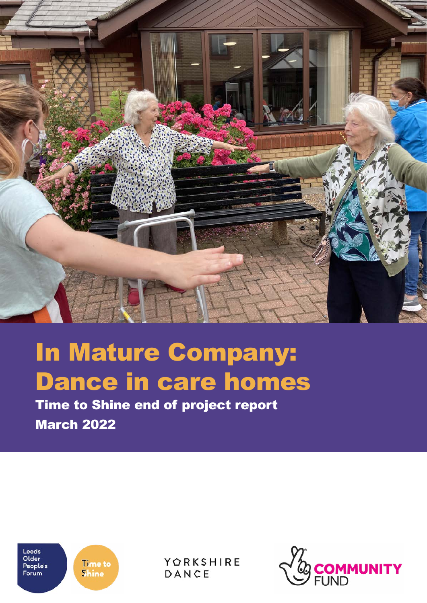

# In Mature Company: Dance in care homes

March 2022



**Time to Shine** 

YORKSHIRE DANCE

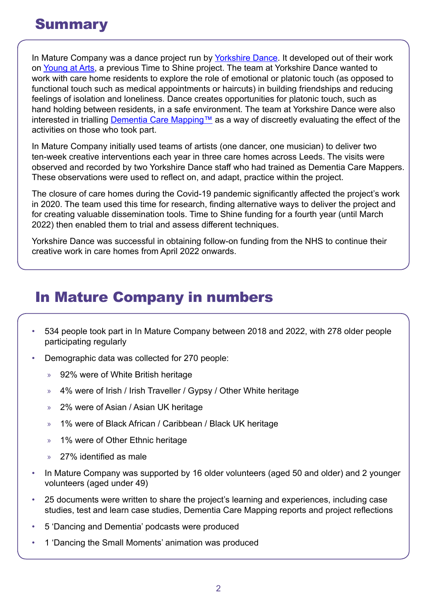In Mature Company was a dance project run by [Yorkshire Dance](https://yorkshiredance.com/). It developed out of their work on [Young at Arts,](https://www.opforum.org.uk/wp-content/uploads/2017/07/Young-at-arts-end-of-project-report-v3.pdf) a previous Time to Shine project. The team at Yorkshire Dance wanted to work with care home residents to explore the role of emotional or platonic touch (as opposed to functional touch such as medical appointments or haircuts) in building friendships and reducing feelings of isolation and loneliness. Dance creates opportunities for platonic touch, such as hand holding between residents, in a safe environment. The team at Yorkshire Dance were also interested in trialling [Dementia Care Mapping™](https://www.bradford.ac.uk/dementia/training-consultancy/dcm/) as a way of discreetly evaluating the effect of the activities on those who took part.

In Mature Company initially used teams of artists (one dancer, one musician) to deliver two ten-week creative interventions each year in three care homes across Leeds. The visits were observed and recorded by two Yorkshire Dance staff who had trained as Dementia Care Mappers. These observations were used to reflect on, and adapt, practice within the project.

The closure of care homes during the Covid-19 pandemic significantly affected the project's work in 2020. The team used this time for research, finding alternative ways to deliver the project and for creating valuable dissemination tools. Time to Shine funding for a fourth year (until March 2022) then enabled them to trial and assess different techniques.

Yorkshire Dance was successful in obtaining follow-on funding from the NHS to continue their creative work in care homes from April 2022 onwards.

## In Mature Company in numbers

- 534 people took part in In Mature Company between 2018 and 2022, with 278 older people participating regularly
- Demographic data was collected for 270 people:
	- » 92% were of White British heritage
	- » 4% were of Irish / Irish Traveller / Gypsy / Other White heritage
	- » 2% were of Asian / Asian UK heritage
	- » 1% were of Black African / Caribbean / Black UK heritage
	- » 1% were of Other Ethnic heritage
	- 27% identified as male
- In Mature Company was supported by 16 older volunteers (aged 50 and older) and 2 younger volunteers (aged under 49)
- 25 documents were written to share the project's learning and experiences, including case studies, test and learn case studies, Dementia Care Mapping reports and project reflections
- 5 'Dancing and Dementia' podcasts were produced
- 1 'Dancing the Small Moments' animation was produced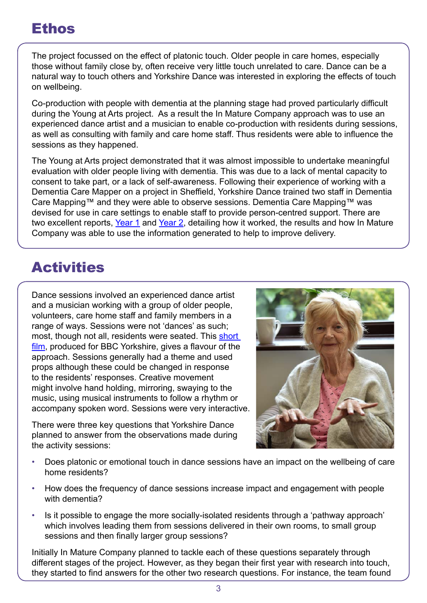## Ethos

The project focussed on the effect of platonic touch. Older people in care homes, especially those without family close by, often receive very little touch unrelated to care. Dance can be a natural way to touch others and Yorkshire Dance was interested in exploring the effects of touch on wellbeing.

Co-production with people with dementia at the planning stage had proved particularly difficult during the Young at Arts project. As a result the In Mature Company approach was to use an experienced dance artist and a musician to enable co-production with residents during sessions, as well as consulting with family and care home staff. Thus residents were able to influence the sessions as they happened.

The Young at Arts project demonstrated that it was almost impossible to undertake meaningful evaluation with older people living with dementia. This was due to a lack of mental capacity to consent to take part, or a lack of self-awareness. Following their experience of working with a Dementia Care Mapper on a project in Sheffield, Yorkshire Dance trained two staff in Dementia Care Mapping™ and they were able to observe sessions. Dementia Care Mapping™ was devised for use in care settings to enable staff to provide person-centred support. There are two excellent reports, [Year 1](https://s3-eu-west-1.amazonaws.com/media.timetoshine.co.uk/2018-Q4-Dementia-Care-Mapping-Report-In-Mature-Company-Year-1-1.pdf) and [Year 2,](https://www.opforum.org.uk/resources/dementia-care-mapping-evaluating-data-finding-trends-in-mature-company-year-2/) detailing how it worked, the results and how In Mature Company was able to use the information generated to help to improve delivery.

## **Activities**

Dance sessions involved an experienced dance artist and a musician working with a group of older people, volunteers, care home staff and family members in a range of ways. Sessions were not 'dances' as such; most, though not all, residents were seated. This short [film,](https://www.facebook.com/watch/%3Fv%3D764000150649870) produced for BBC Yorkshire, gives a flavour of the approach. Sessions generally had a theme and used props although these could be changed in response to the residents' responses. Creative movement might involve hand holding, mirroring, swaying to the music, using musical instruments to follow a rhythm or accompany spoken word. Sessions were very interactive.

There were three key questions that Yorkshire Dance planned to answer from the observations made during the activity sessions:



- Does platonic or emotional touch in dance sessions have an impact on the wellbeing of care home residents?
- How does the frequency of dance sessions increase impact and engagement with people with dementia?
- Is it possible to engage the more socially-isolated residents through a 'pathway approach' which involves leading them from sessions delivered in their own rooms, to small group sessions and then finally larger group sessions?

Initially In Mature Company planned to tackle each of these questions separately through different stages of the project. However, as they began their first year with research into touch, they started to find answers for the other two research questions. For instance, the team found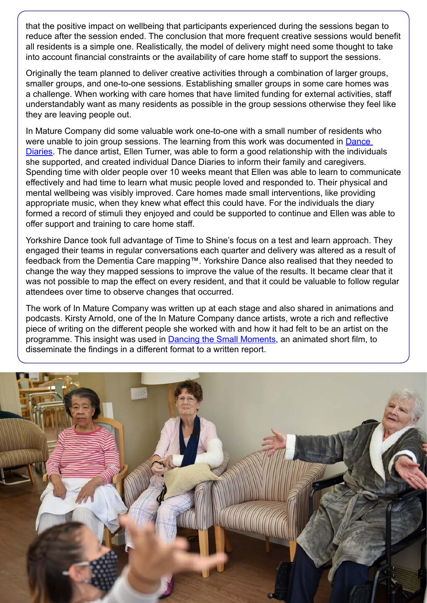that the positive impact on wellbeing that participants experienced during the sessions began to reduce after the session ended. The conclusion that more frequent creative sessions would benefit all residents is a simple one. Realistically, the model of delivery might need some thought to take into account financial constraints or the availability of care home staff to support the sessions.

Originally the team planned to deliver creative activities through a combination of larger groups, smaller groups, and one-to-one sessions. Establishing smaller groups in some care homes was a challenge. When working with care homes that have limited funding for external activities, staff understandably want as many residents as possible in the group sessions otherwise they feel like they are leaving people out.

In Mature Company did some valuable work one-to-one with a small number of residents who were unable to join group sessions. The learning from this work was documented in **Dance** [Diaries](https://www.opforum.org.uk/resources/in-mature-dance-company-introduction-to-the-dance-diary/). The dance artist, Ellen Turner, was able to form a good relationship with the individuals she supported, and created individual Dance Diaries to inform their family and caregivers. Spending time with older people over 10 weeks meant that Ellen was able to learn to communicate effectively and had time to learn what music people loved and responded to. Their physical and mental wellbeing was visibly improved. Care homes made small interventions, like providing appropriate music, when they knew what effect this could have. For the individuals the diary formed a record of stimuli they enjoyed and could be supported to continue and Ellen was able to offer support and training to care home staff.

Yorkshire Dance took full advantage of Time to Shine's focus on a test and learn approach. They engaged their teams in regular conversations each quarter and delivery was altered as a result of feedback from the Dementia Care mapping™. Yorkshire Dance also realised that they needed to change the way they mapped sessions to improve the value of the results. It became clear that it was not possible to map the effect on every resident, and that it could be valuable to follow regular attendees over time to observe changes that occurred.

The work of In Mature Company was written up at each stage and also shared in animations and podcasts. Kirsty Arnold, one of the In Mature Company dance artists, wrote a rich and reflective piece of writing on the different people she worked with and how it had felt to be an artist on the programme. This insight was used in [Dancing the Small Moments](https://yorkshiredance.com/news/enjoy-dancing-the-small-moments/), an animated short film, to disseminate the findings in a different format to a written report.

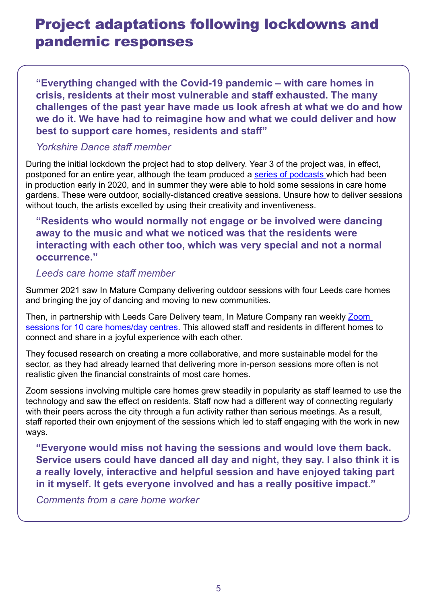## Project adaptations following lockdowns and pandemic responses

**"Everything changed with the Covid-19 pandemic – with care homes in crisis, residents at their most vulnerable and staff exhausted. The many challenges of the past year have made us look afresh at what we do and how we do it. We have had to reimagine how and what we could deliver and how best to support care homes, residents and staff"** 

#### *Yorkshire Dance staff member*

During the initial lockdown the project had to stop delivery. Year 3 of the project was, in effect, postponed for an entire year, although the team produced a [series of podcasts w](https://yorkshiredance.com/project/yorkshire-dance-presents-dancing-and-dementia-podcasts/)hich had been in production early in 2020, and in summer they were able to hold some sessions in care home gardens. These were outdoor, socially-distanced creative sessions. Unsure how to deliver sessions without touch, the artists excelled by using their creativity and inventiveness.

#### **"Residents who would normally not engage or be involved were dancing away to the music and what we noticed was that the residents were interacting with each other too, which was very special and not a normal occurrence."**

#### *Leeds care home staff member*

Summer 2021 saw In Mature Company delivering outdoor sessions with four Leeds care homes and bringing the joy of dancing and moving to new communities.

Then, in partnership with Leeds Care Delivery team, In Mature Company ran weekly Zoom [sessions for 10 care homes/day centres](https://www.opforum.org.uk/resources/artist-reflections-introducing-zoom-sessions-into-care-homes-for-in-mature-company/). This allowed staff and residents in different homes to connect and share in a joyful experience with each other.

They focused research on creating a more collaborative, and more sustainable model for the sector, as they had already learned that delivering more in-person sessions more often is not realistic given the financial constraints of most care homes.

Zoom sessions involving multiple care homes grew steadily in popularity as staff learned to use the technology and saw the effect on residents. Staff now had a different way of connecting regularly with their peers across the city through a fun activity rather than serious meetings. As a result, staff reported their own enjoyment of the sessions which led to staff engaging with the work in new ways.

**"Everyone would miss not having the sessions and would love them back. Service users could have danced all day and night, they say. I also think it is a really lovely, interactive and helpful session and have enjoyed taking part in it myself. It gets everyone involved and has a really positive impact."** 

*Comments from a care home worker*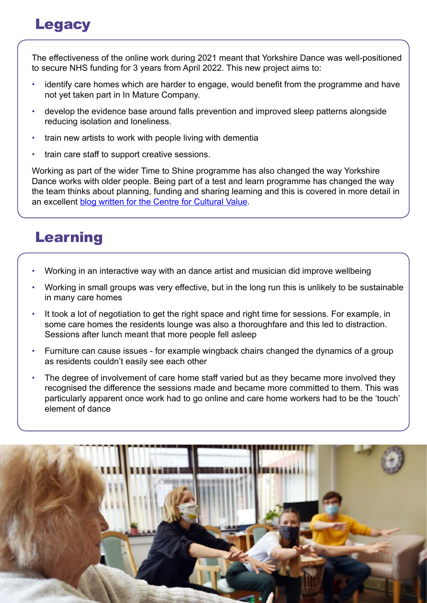# **Legacy**

The effectiveness of the online work during 2021 meant that Yorkshire Dance was well-positioned to secure NHS funding for 3 years from April 2022. This new project aims to:

- identify care homes which are harder to engage, would benefit from the programme and have not yet taken part in In Mature Company.
- develop the evidence base around falls prevention and improved sleep patterns alongside reducing isolation and loneliness.
- train new artists to work with people living with dementia
- train care staff to support creative sessions.

Working as part of the wider Time to Shine programme has also changed the way Yorkshire Dance works with older people. Being part of a test and learn programme has changed the way the team thinks about planning, funding and sharing learning and this is covered in more detail in an excellent [blog written for the Centre for Cultural Value.](https://www.culturehive.co.uk/CVIresources/sharing-learning-yorkshire-dance-in-mature-company/)

# Learning

- Working in an interactive way with an dance artist and musician did improve wellbeing
- Working in small groups was very effective, but in the long run this is unlikely to be sustainable in many care homes
- It took a lot of negotiation to get the right space and right time for sessions. For example, in some care homes the residents lounge was also a thoroughfare and this led to distraction. Sessions after lunch meant that more people fell asleep
- Furniture can cause issues for example wingback chairs changed the dynamics of a group as residents couldn't easily see each other
- The degree of involvement of care home staff varied but as they became more involved they recognised the difference the sessions made and became more committed to them. This was particularly apparent once work had to go online and care home workers had to be the 'touch' element of dance

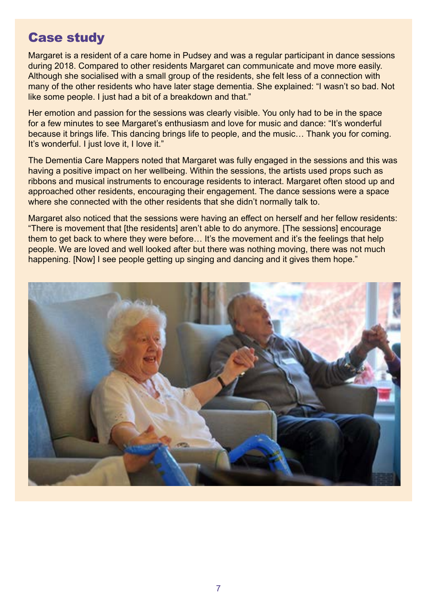### Case study

Margaret is a resident of a care home in Pudsey and was a regular participant in dance sessions during 2018. Compared to other residents Margaret can communicate and move more easily. Although she socialised with a small group of the residents, she felt less of a connection with many of the other residents who have later stage dementia. She explained: "I wasn't so bad. Not like some people. I just had a bit of a breakdown and that."

Her emotion and passion for the sessions was clearly visible. You only had to be in the space for a few minutes to see Margaret's enthusiasm and love for music and dance: "It's wonderful because it brings life. This dancing brings life to people, and the music… Thank you for coming. It's wonderful. I just love it, I love it."

The Dementia Care Mappers noted that Margaret was fully engaged in the sessions and this was having a positive impact on her wellbeing. Within the sessions, the artists used props such as ribbons and musical instruments to encourage residents to interact. Margaret often stood up and approached other residents, encouraging their engagement. The dance sessions were a space where she connected with the other residents that she didn't normally talk to.

Margaret also noticed that the sessions were having an effect on herself and her fellow residents: "There is movement that [the residents] aren't able to do anymore. [The sessions] encourage them to get back to where they were before… It's the movement and it's the feelings that help people. We are loved and well looked after but there was nothing moving, there was not much happening. [Now] I see people getting up singing and dancing and it gives them hope."